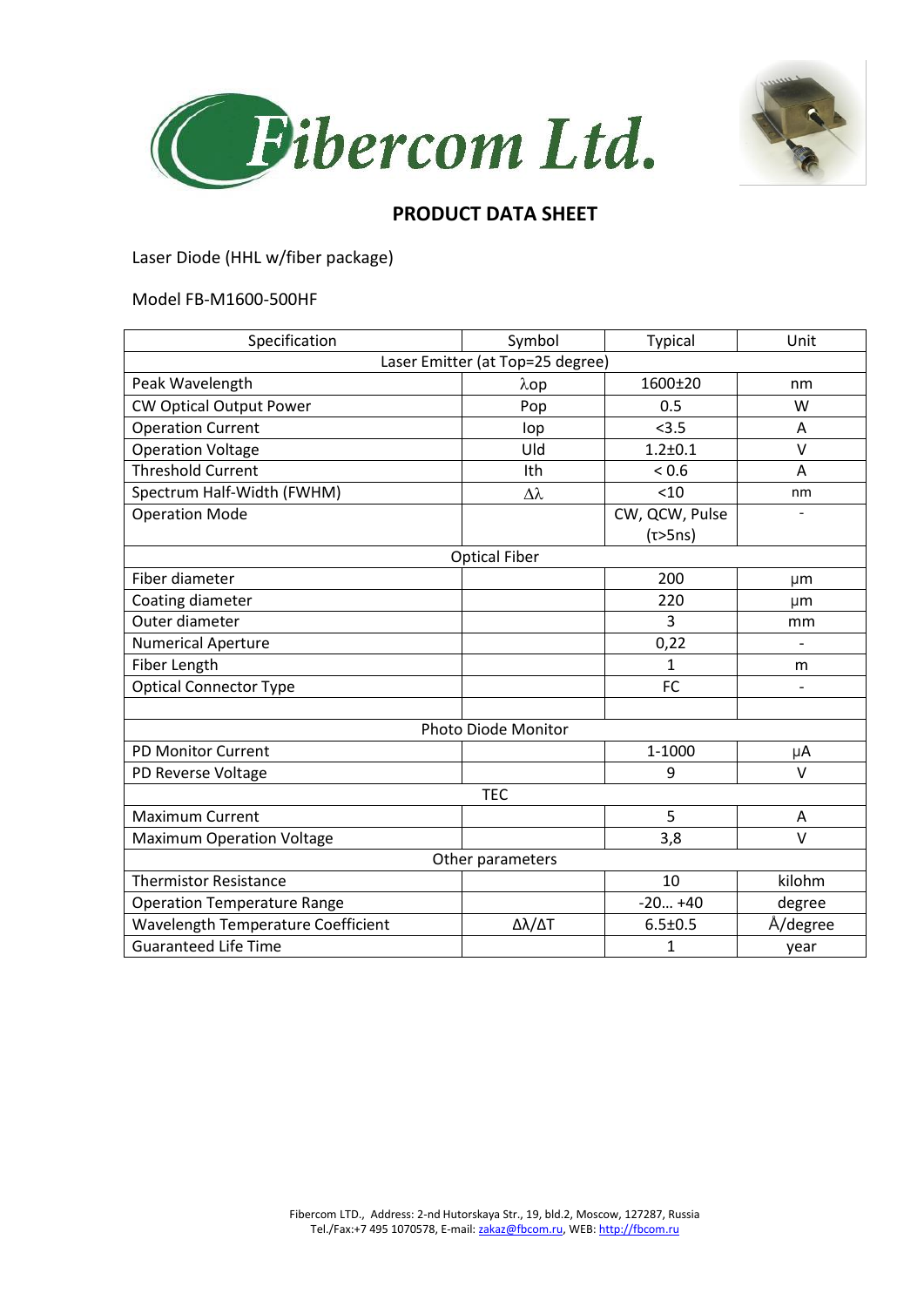



## **PRODUCT DATA SHEET**

Laser Diode (HHL w/fiber package)

## Model FB-M1600-500HF

| Specification                      | Symbol       | <b>Typical</b> | Unit                     |
|------------------------------------|--------------|----------------|--------------------------|
| Laser Emitter (at Top=25 degree)   |              |                |                          |
| Peak Wavelength                    | $\lambda$ op | 1600±20        | nm                       |
| <b>CW Optical Output Power</b>     | Pop          | 0.5            | W                        |
| <b>Operation Current</b>           | lop          | < 3.5          | A                        |
| <b>Operation Voltage</b>           | Uld          | $1.2 + 0.1$    | $\vee$                   |
| <b>Threshold Current</b>           | Ith          | ${}_{0.6}$     | A                        |
| Spectrum Half-Width (FWHM)         | Δλ           | < 10           | nm                       |
| <b>Operation Mode</b>              |              | CW, QCW, Pulse |                          |
|                                    |              | (τ>5ns)        |                          |
| <b>Optical Fiber</b>               |              |                |                          |
| Fiber diameter                     |              | 200            | μm                       |
| Coating diameter                   |              | 220            | µm                       |
| Outer diameter                     |              | 3              | mm                       |
| <b>Numerical Aperture</b>          |              | 0,22           |                          |
| Fiber Length                       |              | 1              | m                        |
| <b>Optical Connector Type</b>      |              | FC             | $\overline{\phantom{0}}$ |
|                                    |              |                |                          |
| <b>Photo Diode Monitor</b>         |              |                |                          |
| <b>PD Monitor Current</b>          |              | 1-1000         | μA                       |
| PD Reverse Voltage                 |              | 9              | $\vee$                   |
| <b>TEC</b>                         |              |                |                          |
| <b>Maximum Current</b>             |              | 5              | A                        |
| <b>Maximum Operation Voltage</b>   |              | 3,8            | $\vee$                   |
| Other parameters                   |              |                |                          |
| <b>Thermistor Resistance</b>       |              | 10             | kilohm                   |
| <b>Operation Temperature Range</b> |              | $-20+40$       | degree                   |
| Wavelength Temperature Coefficient | Δλ/ΔΤ        | $6.5 \pm 0.5$  | Å/degree                 |
| <b>Guaranteed Life Time</b>        |              | 1              | year                     |